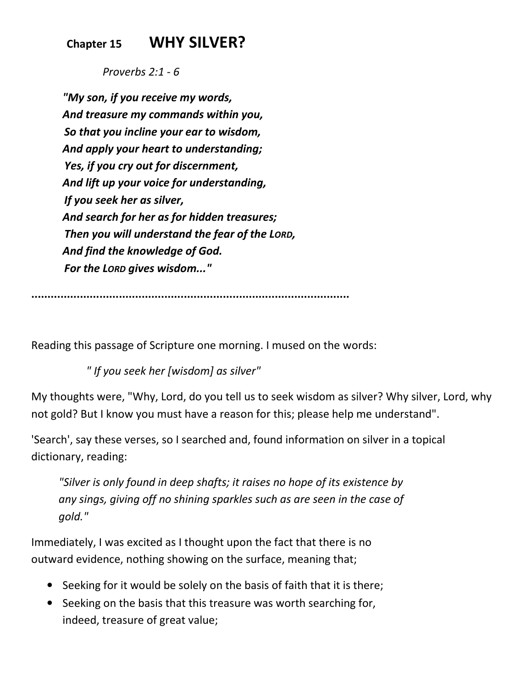## **Chapter 15 WHY SILVER?**

 *Proverbs 2:1 - 6*

*"My son, if you receive my words, And treasure my commands within you, So that you incline your ear to wisdom, And apply your heart to understanding; Yes, if you cry out for discernment, And lift up your voice for understanding, If you seek her as silver, And search for her as for hidden treasures; Then you will understand the fear of the LORD, And find the knowledge of God. For the LORD gives wisdom..."*

**..................................................................................................** 

Reading this passage of Scripture one morning. I mused on the words:

 *" If you seek her [wisdom] as silver"*

My thoughts were, "Why, Lord, do you tell us to seek wisdom as silver? Why silver, Lord, why not gold? But I know you must have a reason for this; please help me understand".

'Search', say these verses, so I searched and, found information on silver in a topical dictionary, reading:

*"Silver is only found in deep shafts; it raises no hope of its existence by any sings, giving off no shining sparkles such as are seen in the case of gold."*

Immediately, I was excited as I thought upon the fact that there is no outward evidence, nothing showing on the surface, meaning that;

- Seeking for it would be solely on the basis of faith that it is there;
- Seeking on the basis that this treasure was worth searching for, indeed, treasure of great value;